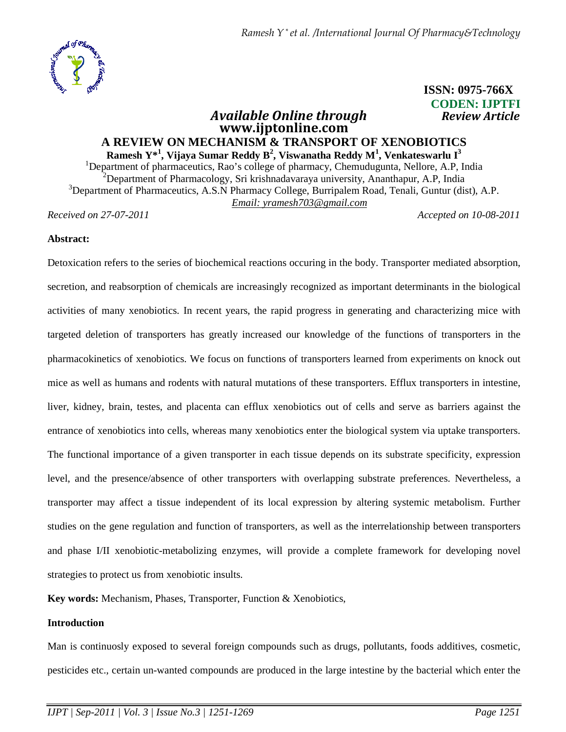

# **ISSN: 0975-766X CODEN: IJPTFI**

# *<u>Available Online through</u>* **www.ijptonline.com A REVIEW ON MECHANISM & TRANSPORT OF XENOBIOTICS Ramesh Y\*<sup>1</sup> , Vijaya Sumar Reddy B<sup>2</sup> , Viswanatha Reddy M<sup>1</sup> , Venkateswarlu I<sup>3</sup>**

<sup>1</sup>Department of pharmaceutics, Rao's college of pharmacy, Chemudugunta, Nellore, A.P, India <sup>2</sup>Department of Pharmacology, Sri krishnadavaraya university, Ananthapur, A.P, India <sup>3</sup>Department of Pharmaceutics, A.S.N Pharmacy College, Burripalem Road, Tenali, Guntur (dist), A.P. *Email: yramesh703@gmail.com*

*Received on 27-07-2011 Accepted on 10-08-2011*

# **Abstract:**

Detoxication refers to the series of biochemical reactions occuring in the body. Transporter mediated absorption, secretion, and reabsorption of chemicals are increasingly recognized as important determinants in the biological activities of many xenobiotics. In recent years, the rapid progress in generating and characterizing mice with targeted deletion of transporters has greatly increased our knowledge of the functions of transporters in the pharmacokinetics of xenobiotics. We focus on functions of transporters learned from experiments on knock out mice as well as humans and rodents with natural mutations of these transporters. Efflux transporters in intestine, liver, kidney, brain, testes, and placenta can efflux xenobiotics out of cells and serve as barriers against the entrance of xenobiotics into cells, whereas many xenobiotics enter the biological system via uptake transporters. The functional importance of a given transporter in each tissue depends on its substrate specificity, expression level, and the presence/absence of other transporters with overlapping substrate preferences. Nevertheless, a transporter may affect a tissue independent of its local expression by altering systemic metabolism. Further studies on the gene regulation and function of transporters, as well as the interrelationship between transporters and phase I/II xenobiotic-metabolizing enzymes, will provide a complete framework for developing novel strategies to protect us from xenobiotic insults.

**Key words:** Mechanism, Phases, Transporter, Function & Xenobiotics,

# **Introduction**

Man is continuosly exposed to several foreign compounds such as drugs, pollutants, foods additives, cosmetic, pesticides etc., certain un-wanted compounds are produced in the large intestine by the bacterial which enter the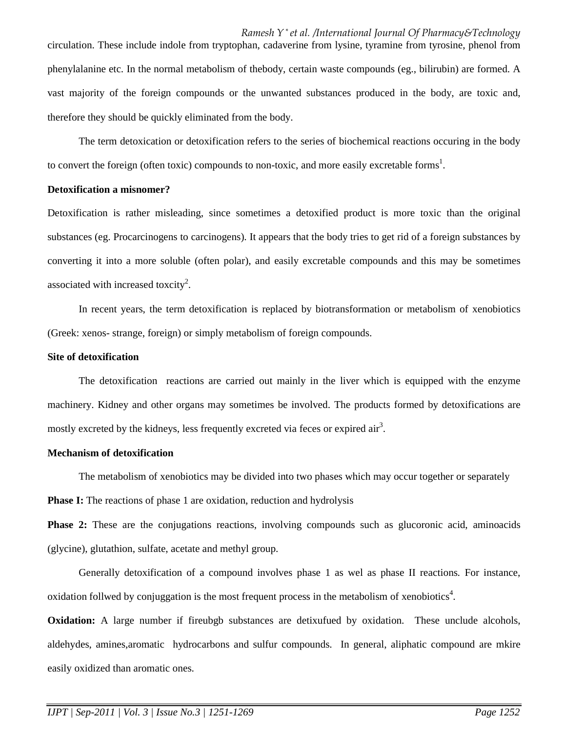circulation. These include indole from tryptophan, cadaverine from lysine, tyramine from tyrosine, phenol from phenylalanine etc. In the normal metabolism of thebody, certain waste compounds (eg., bilirubin) are formed. A vast majority of the foreign compounds or the unwanted substances produced in the body, are toxic and, therefore they should be quickly eliminated from the body.

 The term detoxication or detoxification refers to the series of biochemical reactions occuring in the body to convert the foreign (often toxic) compounds to non-toxic, and more easily excretable forms<sup>1</sup>.

#### **Detoxification a misnomer?**

Detoxification is rather misleading, since sometimes a detoxified product is more toxic than the original substances (eg. Procarcinogens to carcinogens). It appears that the body tries to get rid of a foreign substances by converting it into a more soluble (often polar), and easily excretable compounds and this may be sometimes associated with increased toxcity<sup>2</sup>.

 In recent years, the term detoxification is replaced by biotransformation or metabolism of xenobiotics (Greek: xenos- strange, foreign) or simply metabolism of foreign compounds.

### **Site of detoxification**

 The detoxification reactions are carried out mainly in the liver which is equipped with the enzyme machinery. Kidney and other organs may sometimes be involved. The products formed by detoxifications are mostly excreted by the kidneys, less frequently excreted via feces or expired air<sup>3</sup>.

### **Mechanism of detoxification**

The metabolism of xenobiotics may be divided into two phases which may occur together or separately

**Phase I:** The reactions of phase 1 are oxidation, reduction and hydrolysis

**Phase 2:** These are the conjugations reactions, involving compounds such as glucoronic acid, aminoacids (glycine), glutathion, sulfate, acetate and methyl group.

 Generally detoxification of a compound involves phase 1 as wel as phase II reactions. For instance, oxidation follwed by conjuggation is the most frequent process in the metabolism of xenobiotics<sup>4</sup>.

**Oxidation:** A large number if fireubgb substances are detixufued by oxidation. These unclude alcohols, aldehydes, amines,aromatic hydrocarbons and sulfur compounds. In general, aliphatic compound are mkire easily oxidized than aromatic ones.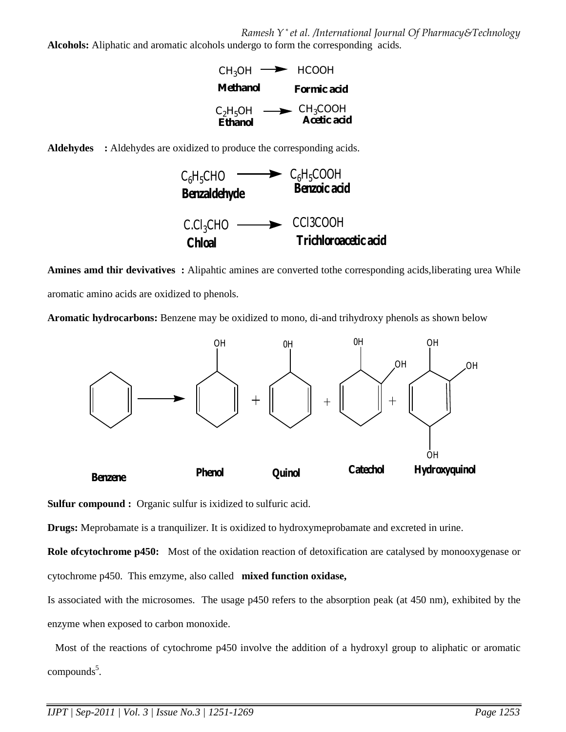**Alcohols:** Aliphatic and aromatic alcohols undergo to form the corresponding acids.







**Amines amd thir devivatives :** Alipahtic amines are converted tothe corresponding acids,liberating urea While aromatic amino acids are oxidized to phenols.

**Aromatic hydrocarbons:** Benzene may be oxidized to mono, di-and trihydroxy phenols as shown below



**Sulfur compound :** Organic sulfur is ixidized to sulfuric acid.

**Drugs:** Meprobamate is a tranquilizer. It is oxidized to hydroxymeprobamate and excreted in urine.

**Role ofcytochrome p450:** Most of the oxidation reaction of detoxification are catalysed by monooxygenase or cytochrome p450. This emzyme, also called **mixed function oxidase,**

Is associated with the microsomes. The usage p450 refers to the absorption peak (at 450 nm), exhibited by the enzyme when exposed to carbon monoxide.

 Most of the reactions of cytochrome p450 involve the addition of a hydroxyl group to aliphatic or aromatic compounds<sup>5</sup>.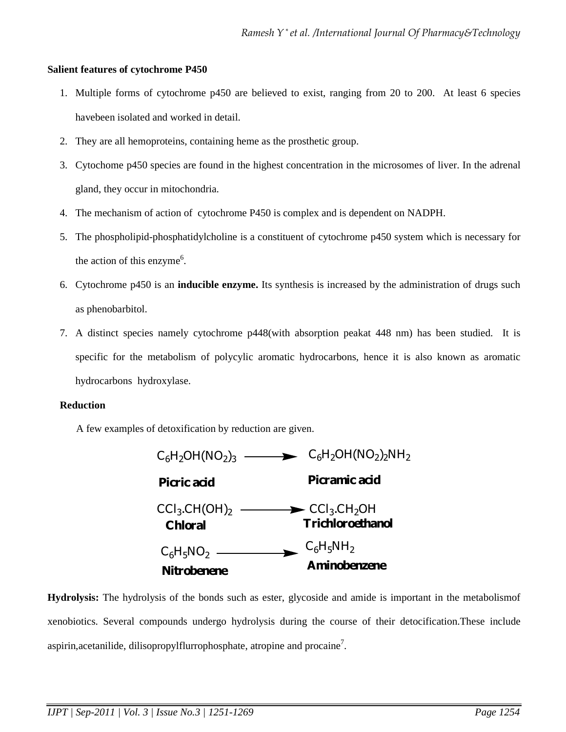### **Salient features of cytochrome P450**

- 1. Multiple forms of cytochrome p450 are believed to exist, ranging from 20 to 200. At least 6 species havebeen isolated and worked in detail.
- 2. They are all hemoproteins, containing heme as the prosthetic group.
- 3. Cytochome p450 species are found in the highest concentration in the microsomes of liver. In the adrenal gland, they occur in mitochondria.
- 4. The mechanism of action of cytochrome P450 is complex and is dependent on NADPH.
- 5. The phospholipid-phosphatidylcholine is a constituent of cytochrome p450 system which is necessary for the action of this enzyme<sup>6</sup>.
- 6. Cytochrome p450 is an **inducible enzyme.** Its synthesis is increased by the administration of drugs such as phenobarbitol.
- 7. A distinct species namely cytochrome p448(with absorption peakat 448 nm) has been studied. It is specific for the metabolism of polycylic aromatic hydrocarbons, hence it is also known as aromatic hydrocarbons hydroxylase.

### **Reduction**

A few examples of detoxification by reduction are given.



**Hydrolysis:** The hydrolysis of the bonds such as ester, glycoside and amide is important in the metabolismof xenobiotics. Several compounds undergo hydrolysis during the course of their detocification.These include aspirin, acetanilide, dilisopropylflurrophosphate, atropine and procaine<sup>7</sup>.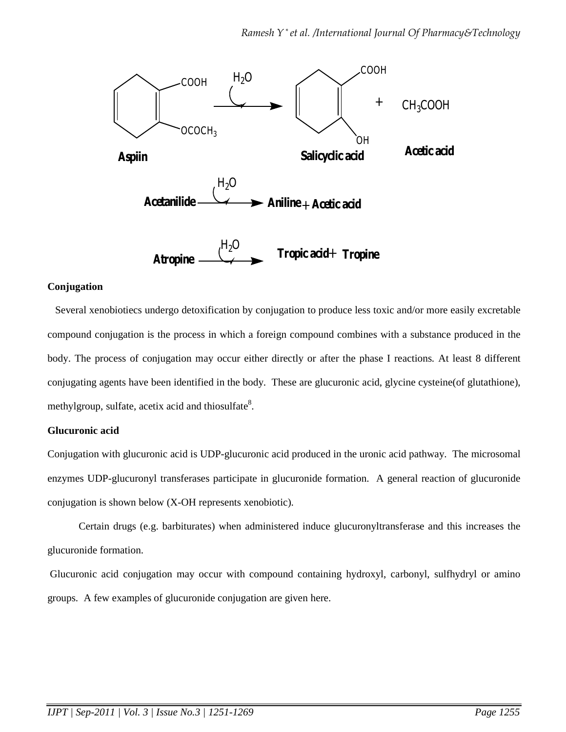

# **Conjugation**

Several xenobiotiecs undergo detoxification by conjugation to produce less toxic and/or more easily excretable compound conjugation is the process in which a foreign compound combines with a substance produced in the body. The process of conjugation may occur either directly or after the phase I reactions. At least 8 different conjugating agents have been identified in the body. These are glucuronic acid, glycine cysteine(of glutathione), methylgroup, sulfate, acetix acid and thiosulfate<sup>8</sup>.

## **Glucuronic acid**

Conjugation with glucuronic acid is UDP-glucuronic acid produced in the uronic acid pathway.The microsomal enzymes UDP-glucuronyl transferases participate in glucuronide formation. A general reaction of glucuronide conjugation is shown below (X-OH represents xenobiotic).

 Certain drugs (e.g. barbiturates) when administered induce glucuronyltransferase and this increases the glucuronide formation.

 Glucuronic acid conjugation may occur with compound containing hydroxyl, carbonyl, sulfhydryl or amino groups. A few examples of glucuronide conjugation are given here.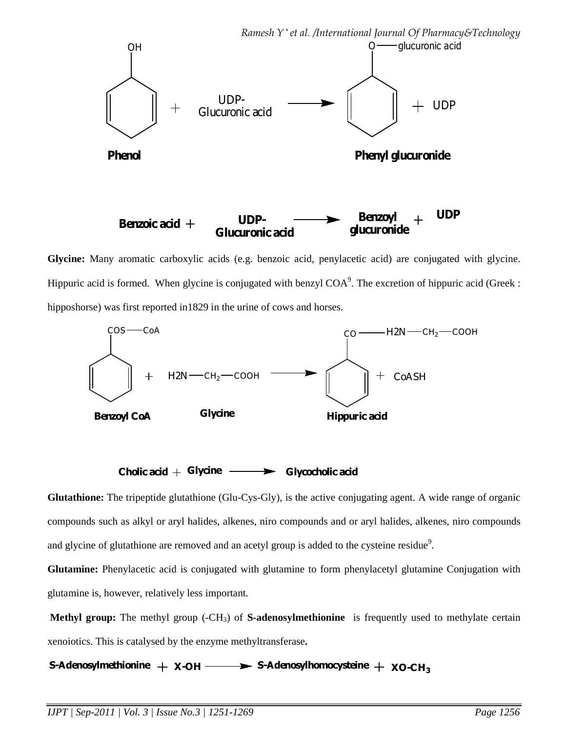

**Glycine:** Many aromatic carboxylic acids (e.g. benzoic acid, penylacetic acid) are conjugated with glycine. Hippuric acid is formed. When glycine is conjugated with benzyl  $COA<sup>9</sup>$ . The excretion of hippuric acid (Greek: hipposhorse) was first reported in1829 in the urine of cows and horses.





**Glutathione:** The tripeptide glutathione (Glu-Cys-Gly), is the active conjugating agent. A wide range of organic compounds such as alkyl or aryl halides, alkenes, niro compounds and or aryl halides, alkenes, niro compounds and glycine of glutathione are removed and an acetyl group is added to the cysteine residue<sup>9</sup>.

**Glutamine:** Phenylacetic acid is conjugated with glutamine to form phenylacetyl glutamine Conjugation with glutamine is, however, relatively less important.

**Methyl group:** The methyl group (-CH<sub>3</sub>) of **S-adenosylmethionine** is frequently used to methylate certain xenoiotics. This is catalysed by the enzyme methyltransferase**.** 

**S-Adenosylmethionine**  $+ \times$ -OH  $- \rightarrow$  S-Adenosylhomocysteine  $+ \times$ O-CH<sub>3</sub>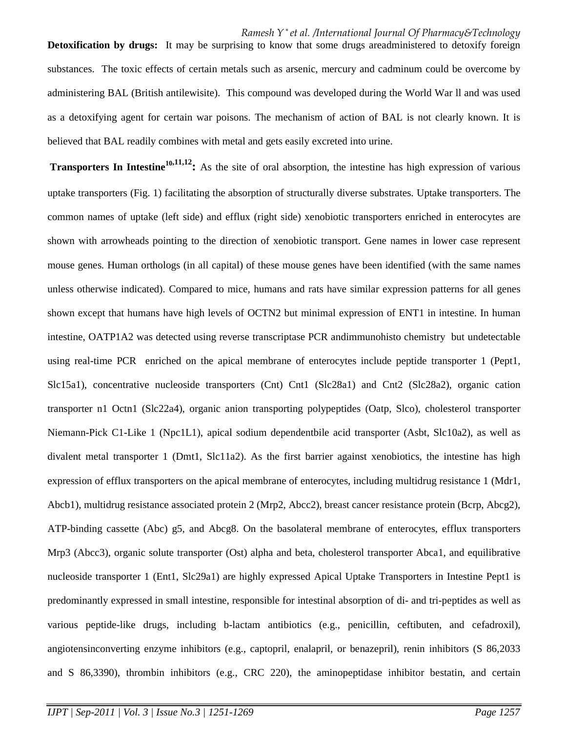**Detoxification by drugs:** It may be surprising to know that some drugs areadministered to detoxify foreign substances. The toxic effects of certain metals such as arsenic, mercury and cadminum could be overcome by administering BAL (British antilewisite). This compound was developed during the World War ll and was used as a detoxifying agent for certain war poisons. The mechanism of action of BAL is not clearly known. It is believed that BAL readily combines with metal and gets easily excreted into urine.

**Transporters In Intestine<sup>10,11,12</sup>** As the site of oral absorption, the intestine has high expression of various uptake transporters (Fig. 1) facilitating the absorption of structurally diverse substrates. Uptake transporters. The common names of uptake (left side) and efflux (right side) xenobiotic transporters enriched in enterocytes are shown with arrowheads pointing to the direction of xenobiotic transport. Gene names in lower case represent mouse genes. Human orthologs (in all capital) of these mouse genes have been identified (with the same names unless otherwise indicated). Compared to mice, humans and rats have similar expression patterns for all genes shown except that humans have high levels of OCTN2 but minimal expression of ENT1 in intestine. In human intestine, OATP1A2 was detected using reverse transcriptase PCR andimmunohisto chemistry but undetectable using real-time PCR enriched on the apical membrane of enterocytes include peptide transporter 1 (Pept1, Slc15a1), concentrative nucleoside transporters (Cnt) Cnt1 (Slc28a1) and Cnt2 (Slc28a2), organic cation transporter n1 Octn1 (Slc22a4), organic anion transporting polypeptides (Oatp, Slco), cholesterol transporter Niemann-Pick C1-Like 1 (Npc1L1), apical sodium dependentbile acid transporter (Asbt, Slc10a2), as well as divalent metal transporter 1 (Dmt1, Slc11a2). As the first barrier against xenobiotics, the intestine has high expression of efflux transporters on the apical membrane of enterocytes, including multidrug resistance 1 (Mdr1, Abcb1), multidrug resistance associated protein 2 (Mrp2, Abcc2), breast cancer resistance protein (Bcrp, Abcg2), ATP-binding cassette (Abc) g5, and Abcg8. On the basolateral membrane of enterocytes, efflux transporters Mrp3 (Abcc3), organic solute transporter (Ost) alpha and beta, cholesterol transporter Abca1, and equilibrative nucleoside transporter 1 (Ent1, Slc29a1) are highly expressed Apical Uptake Transporters in Intestine Pept1 is predominantly expressed in small intestine, responsible for intestinal absorption of di- and tri-peptides as well as various peptide-like drugs, including b-lactam antibiotics (e.g., penicillin, ceftibuten, and cefadroxil), angiotensinconverting enzyme inhibitors (e.g., captopril, enalapril, or benazepril), renin inhibitors (S 86,2033 and S 86,3390), thrombin inhibitors (e.g., CRC 220), the aminopeptidase inhibitor bestatin, and certain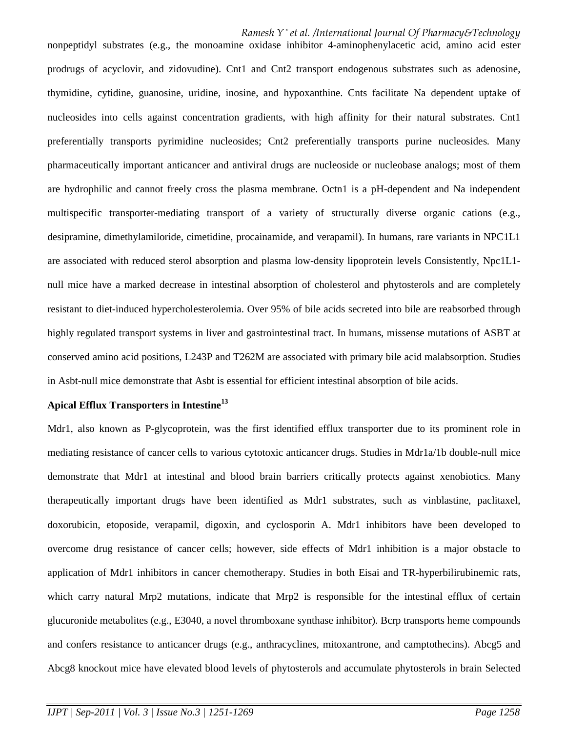nonpeptidyl substrates (e.g., the monoamine oxidase inhibitor 4-aminophenylacetic acid, amino acid ester prodrugs of acyclovir, and zidovudine). Cnt1 and Cnt2 transport endogenous substrates such as adenosine, thymidine, cytidine, guanosine, uridine, inosine, and hypoxanthine. Cnts facilitate Na dependent uptake of nucleosides into cells against concentration gradients, with high affinity for their natural substrates. Cnt1 preferentially transports pyrimidine nucleosides; Cnt2 preferentially transports purine nucleosides. Many pharmaceutically important anticancer and antiviral drugs are nucleoside or nucleobase analogs; most of them are hydrophilic and cannot freely cross the plasma membrane. Octn1 is a pH-dependent and Na independent multispecific transporter-mediating transport of a variety of structurally diverse organic cations (e.g., desipramine, dimethylamiloride, cimetidine, procainamide, and verapamil). In humans, rare variants in NPC1L1 are associated with reduced sterol absorption and plasma low-density lipoprotein levels Consistently, Npc1L1 null mice have a marked decrease in intestinal absorption of cholesterol and phytosterols and are completely resistant to diet-induced hypercholesterolemia. Over 95% of bile acids secreted into bile are reabsorbed through highly regulated transport systems in liver and gastrointestinal tract. In humans, missense mutations of ASBT at conserved amino acid positions, L243P and T262M are associated with primary bile acid malabsorption. Studies in Asbt-null mice demonstrate that Asbt is essential for efficient intestinal absorption of bile acids.

### **Apical Efflux Transporters in Intestine<sup>13</sup>**

Mdr1, also known as P-glycoprotein, was the first identified efflux transporter due to its prominent role in mediating resistance of cancer cells to various cytotoxic anticancer drugs. Studies in Mdr1a/1b double-null mice demonstrate that Mdr1 at intestinal and blood brain barriers critically protects against xenobiotics. Many therapeutically important drugs have been identified as Mdr1 substrates, such as vinblastine, paclitaxel, doxorubicin, etoposide, verapamil, digoxin, and cyclosporin A. Mdr1 inhibitors have been developed to overcome drug resistance of cancer cells; however, side effects of Mdr1 inhibition is a major obstacle to application of Mdr1 inhibitors in cancer chemotherapy. Studies in both Eisai and TR-hyperbilirubinemic rats, which carry natural Mrp2 mutations, indicate that Mrp2 is responsible for the intestinal efflux of certain glucuronide metabolites (e.g., E3040, a novel thromboxane synthase inhibitor). Bcrp transports heme compounds and confers resistance to anticancer drugs (e.g., anthracyclines, mitoxantrone, and camptothecins). Abcg5 and Abcg8 knockout mice have elevated blood levels of phytosterols and accumulate phytosterols in brain Selected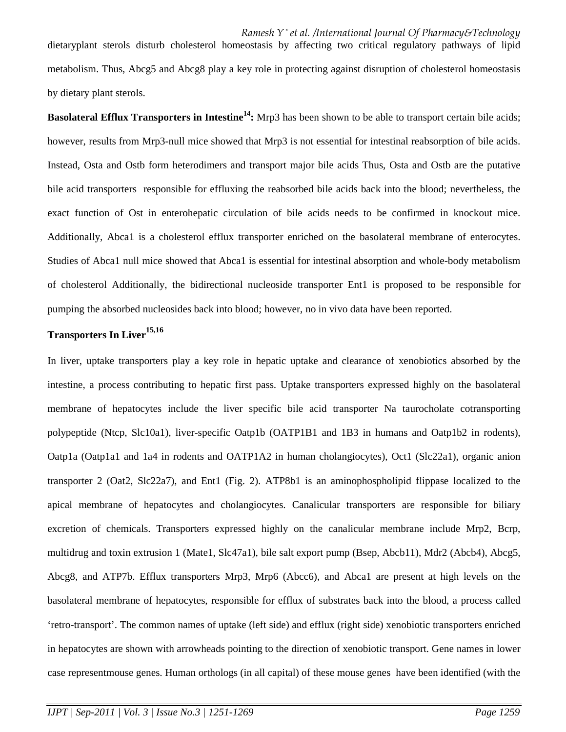dietaryplant sterols disturb cholesterol homeostasis by affecting two critical regulatory pathways of lipid metabolism. Thus, Abcg5 and Abcg8 play a key role in protecting against disruption of cholesterol homeostasis by dietary plant sterols.

**Basolateral Efflux Transporters in Intestine<sup>14</sup>:** Mrp3 has been shown to be able to transport certain bile acids; however, results from Mrp3-null mice showed that Mrp3 is not essential for intestinal reabsorption of bile acids. Instead, Osta and Ostb form heterodimers and transport major bile acids Thus, Osta and Ostb are the putative bile acid transporters responsible for effluxing the reabsorbed bile acids back into the blood; nevertheless, the exact function of Ost in enterohepatic circulation of bile acids needs to be confirmed in knockout mice. Additionally, Abca1 is a cholesterol efflux transporter enriched on the basolateral membrane of enterocytes. Studies of Abca1 null mice showed that Abca1 is essential for intestinal absorption and whole-body metabolism of cholesterol Additionally, the bidirectional nucleoside transporter Ent1 is proposed to be responsible for pumping the absorbed nucleosides back into blood; however, no in vivo data have been reported.

# **Transporters In Liver15,16**

In liver, uptake transporters play a key role in hepatic uptake and clearance of xenobiotics absorbed by the intestine, a process contributing to hepatic first pass. Uptake transporters expressed highly on the basolateral membrane of hepatocytes include the liver specific bile acid transporter Na taurocholate cotransporting polypeptide (Ntcp, Slc10a1), liver-specific Oatp1b (OATP1B1 and 1B3 in humans and Oatp1b2 in rodents), Oatp1a (Oatp1a1 and 1a4 in rodents and OATP1A2 in human cholangiocytes), Oct1 (Slc22a1), organic anion transporter 2 (Oat2, Slc22a7), and Ent1 (Fig. 2). ATP8b1 is an aminophospholipid flippase localized to the apical membrane of hepatocytes and cholangiocytes. Canalicular transporters are responsible for biliary excretion of chemicals. Transporters expressed highly on the canalicular membrane include Mrp2, Bcrp, multidrug and toxin extrusion 1 (Mate1, Slc47a1), bile salt export pump (Bsep, Abcb11), Mdr2 (Abcb4), Abcg5, Abcg8, and ATP7b. Efflux transporters Mrp3, Mrp6 (Abcc6), and Abca1 are present at high levels on the basolateral membrane of hepatocytes, responsible for efflux of substrates back into the blood, a process called 'retro-transport'. The common names of uptake (left side) and efflux (right side) xenobiotic transporters enriched in hepatocytes are shown with arrowheads pointing to the direction of xenobiotic transport. Gene names in lower case representmouse genes. Human orthologs (in all capital) of these mouse genes have been identified (with the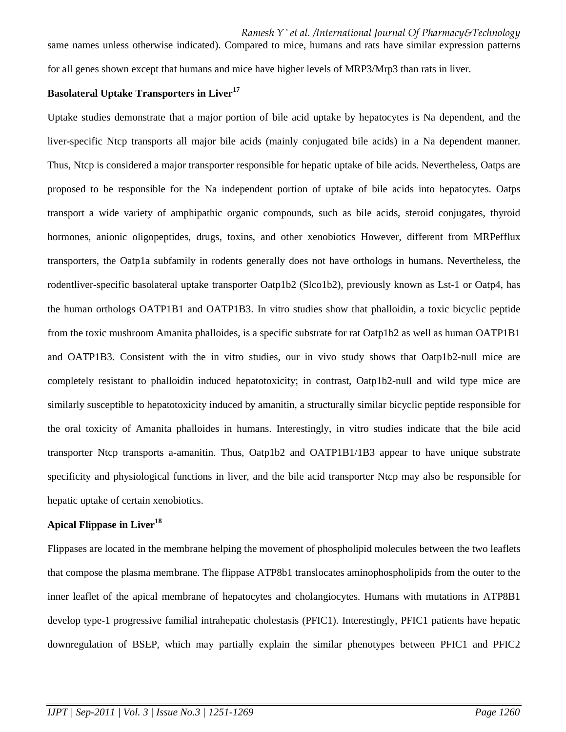same names unless otherwise indicated). Compared to mice, humans and rats have similar expression patterns for all genes shown except that humans and mice have higher levels of MRP3/Mrp3 than rats in liver.

# **Basolateral Uptake Transporters in Liver<sup>17</sup>**

Uptake studies demonstrate that a major portion of bile acid uptake by hepatocytes is Na dependent, and the liver-specific Ntcp transports all major bile acids (mainly conjugated bile acids) in a Na dependent manner. Thus, Ntcp is considered a major transporter responsible for hepatic uptake of bile acids. Nevertheless, Oatps are proposed to be responsible for the Na independent portion of uptake of bile acids into hepatocytes. Oatps transport a wide variety of amphipathic organic compounds, such as bile acids, steroid conjugates, thyroid hormones, anionic oligopeptides, drugs, toxins, and other xenobiotics However, different from MRPefflux transporters, the Oatp1a subfamily in rodents generally does not have orthologs in humans. Nevertheless, the rodentliver-specific basolateral uptake transporter Oatp1b2 (Slco1b2), previously known as Lst-1 or Oatp4, has the human orthologs OATP1B1 and OATP1B3. In vitro studies show that phalloidin, a toxic bicyclic peptide from the toxic mushroom Amanita phalloides, is a specific substrate for rat Oatp1b2 as well as human OATP1B1 and OATP1B3. Consistent with the in vitro studies, our in vivo study shows that Oatp1b2-null mice are completely resistant to phalloidin induced hepatotoxicity; in contrast, Oatp1b2-null and wild type mice are similarly susceptible to hepatotoxicity induced by amanitin, a structurally similar bicyclic peptide responsible for the oral toxicity of Amanita phalloides in humans. Interestingly, in vitro studies indicate that the bile acid transporter Ntcp transports a-amanitin. Thus, Oatp1b2 and OATP1B1/1B3 appear to have unique substrate specificity and physiological functions in liver, and the bile acid transporter Ntcp may also be responsible for hepatic uptake of certain xenobiotics.

## **Apical Flippase in Liver<sup>18</sup>**

Flippases are located in the membrane helping the movement of phospholipid molecules between the two leaflets that compose the plasma membrane. The flippase ATP8b1 translocates aminophospholipids from the outer to the inner leaflet of the apical membrane of hepatocytes and cholangiocytes. Humans with mutations in ATP8B1 develop type-1 progressive familial intrahepatic cholestasis (PFIC1). Interestingly, PFIC1 patients have hepatic downregulation of BSEP, which may partially explain the similar phenotypes between PFIC1 and PFIC2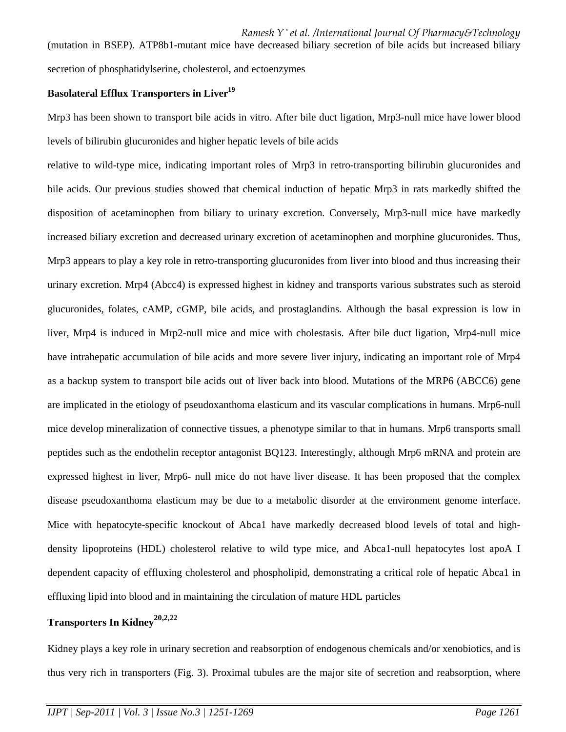(mutation in BSEP). ATP8b1-mutant mice have decreased biliary secretion of bile acids but increased biliary secretion of phosphatidylserine, cholesterol, and ectoenzymes

# **Basolateral Efflux Transporters in Liver<sup>19</sup>**

Mrp3 has been shown to transport bile acids in vitro. After bile duct ligation, Mrp3-null mice have lower blood levels of bilirubin glucuronides and higher hepatic levels of bile acids

relative to wild-type mice, indicating important roles of Mrp3 in retro-transporting bilirubin glucuronides and bile acids. Our previous studies showed that chemical induction of hepatic Mrp3 in rats markedly shifted the disposition of acetaminophen from biliary to urinary excretion. Conversely, Mrp3-null mice have markedly increased biliary excretion and decreased urinary excretion of acetaminophen and morphine glucuronides. Thus, Mrp3 appears to play a key role in retro-transporting glucuronides from liver into blood and thus increasing their urinary excretion. Mrp4 (Abcc4) is expressed highest in kidney and transports various substrates such as steroid glucuronides, folates, cAMP, cGMP, bile acids, and prostaglandins. Although the basal expression is low in liver, Mrp4 is induced in Mrp2-null mice and mice with cholestasis. After bile duct ligation, Mrp4-null mice have intrahepatic accumulation of bile acids and more severe liver injury, indicating an important role of Mrp4 as a backup system to transport bile acids out of liver back into blood. Mutations of the MRP6 (ABCC6) gene are implicated in the etiology of pseudoxanthoma elasticum and its vascular complications in humans. Mrp6-null mice develop mineralization of connective tissues, a phenotype similar to that in humans. Mrp6 transports small peptides such as the endothelin receptor antagonist BQ123. Interestingly, although Mrp6 mRNA and protein are expressed highest in liver, Mrp6- null mice do not have liver disease. It has been proposed that the complex disease pseudoxanthoma elasticum may be due to a metabolic disorder at the environment genome interface. Mice with hepatocyte-specific knockout of Abca1 have markedly decreased blood levels of total and highdensity lipoproteins (HDL) cholesterol relative to wild type mice, and Abca1-null hepatocytes lost apoA I dependent capacity of effluxing cholesterol and phospholipid, demonstrating a critical role of hepatic Abca1 in effluxing lipid into blood and in maintaining the circulation of mature HDL particles

# **Transporters In Kidney20,2,22**

Kidney plays a key role in urinary secretion and reabsorption of endogenous chemicals and/or xenobiotics, and is thus very rich in transporters (Fig. 3). Proximal tubules are the major site of secretion and reabsorption, where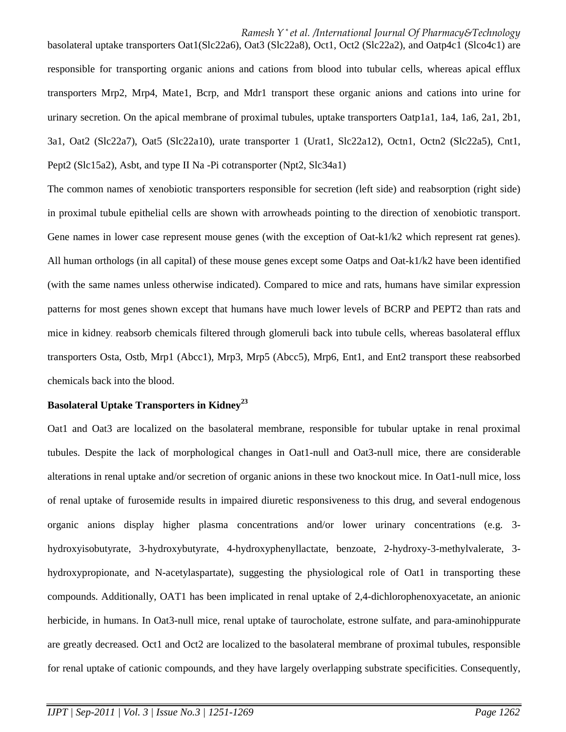basolateral uptake transporters Oat1(Slc22a6), Oat3 (Slc22a8), Oct1, Oct2 (Slc22a2), and Oatp4c1 (Slco4c1) are responsible for transporting organic anions and cations from blood into tubular cells, whereas apical efflux transporters Mrp2, Mrp4, Mate1, Bcrp, and Mdr1 transport these organic anions and cations into urine for urinary secretion. On the apical membrane of proximal tubules, uptake transporters Oatp1a1, 1a4, 1a6, 2a1, 2b1, 3a1, Oat2 (Slc22a7), Oat5 (Slc22a10), urate transporter 1 (Urat1, Slc22a12), Octn1, Octn2 (Slc22a5), Cnt1, Pept2 (Slc15a2), Asbt, and type II Na -Pi cotransporter (Npt2, Slc34a1)

The common names of xenobiotic transporters responsible for secretion (left side) and reabsorption (right side) in proximal tubule epithelial cells are shown with arrowheads pointing to the direction of xenobiotic transport. Gene names in lower case represent mouse genes (with the exception of Oat-k1/k2 which represent rat genes). All human orthologs (in all capital) of these mouse genes except some Oatps and Oat- $k1/k2$  have been identified (with the same names unless otherwise indicated). Compared to mice and rats, humans have similar expression patterns for most genes shown except that humans have much lower levels of BCRP and PEPT2 than rats and mice in kidney. reabsorb chemicals filtered through glomeruli back into tubule cells, whereas basolateral efflux transporters Osta, Ostb, Mrp1 (Abcc1), Mrp3, Mrp5 (Abcc5), Mrp6, Ent1, and Ent2 transport these reabsorbed chemicals back into the blood.

## **Basolateral Uptake Transporters in Kidney<sup>23</sup>**

Oat1 and Oat3 are localized on the basolateral membrane, responsible for tubular uptake in renal proximal tubules. Despite the lack of morphological changes in Oat1-null and Oat3-null mice, there are considerable alterations in renal uptake and/or secretion of organic anions in these two knockout mice. In Oat1-null mice, loss of renal uptake of furosemide results in impaired diuretic responsiveness to this drug, and several endogenous organic anions display higher plasma concentrations and/or lower urinary concentrations (e.g. 3 hydroxyisobutyrate, 3-hydroxybutyrate, 4-hydroxyphenyllactate, benzoate, 2-hydroxy-3-methylvalerate, 3 hydroxypropionate, and N-acetylaspartate), suggesting the physiological role of Oat1 in transporting these compounds. Additionally, OAT1 has been implicated in renal uptake of 2,4-dichlorophenoxyacetate, an anionic herbicide, in humans. In Oat3-null mice, renal uptake of taurocholate, estrone sulfate, and para-aminohippurate are greatly decreased. Oct1 and Oct2 are localized to the basolateral membrane of proximal tubules, responsible for renal uptake of cationic compounds, and they have largely overlapping substrate specificities. Consequently,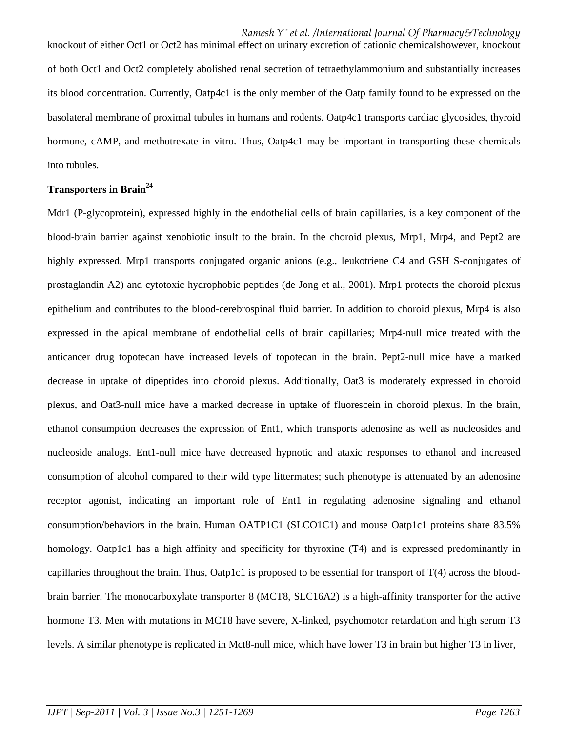knockout of either Oct1 or Oct2 has minimal effect on urinary excretion of cationic chemicalshowever, knockout of both Oct1 and Oct2 completely abolished renal secretion of tetraethylammonium and substantially increases its blood concentration. Currently, Oatp4c1 is the only member of the Oatp family found to be expressed on the basolateral membrane of proximal tubules in humans and rodents. Oatp4c1 transports cardiac glycosides, thyroid hormone, cAMP, and methotrexate in vitro. Thus, Oatp4c1 may be important in transporting these chemicals into tubules.

# **Transporters in Brain<sup>24</sup>**

Mdr1 (P-glycoprotein), expressed highly in the endothelial cells of brain capillaries, is a key component of the blood-brain barrier against xenobiotic insult to the brain. In the choroid plexus, Mrp1, Mrp4, and Pept2 are highly expressed. Mrp1 transports conjugated organic anions (e.g., leukotriene C4 and GSH S-conjugates of prostaglandin A2) and cytotoxic hydrophobic peptides (de Jong et al., 2001). Mrp1 protects the choroid plexus epithelium and contributes to the blood-cerebrospinal fluid barrier. In addition to choroid plexus, Mrp4 is also expressed in the apical membrane of endothelial cells of brain capillaries; Mrp4-null mice treated with the anticancer drug topotecan have increased levels of topotecan in the brain. Pept2-null mice have a marked decrease in uptake of dipeptides into choroid plexus. Additionally, Oat3 is moderately expressed in choroid plexus, and Oat3-null mice have a marked decrease in uptake of fluorescein in choroid plexus. In the brain, ethanol consumption decreases the expression of Ent1, which transports adenosine as well as nucleosides and nucleoside analogs. Ent1-null mice have decreased hypnotic and ataxic responses to ethanol and increased consumption of alcohol compared to their wild type littermates; such phenotype is attenuated by an adenosine receptor agonist, indicating an important role of Ent1 in regulating adenosine signaling and ethanol consumption/behaviors in the brain. Human OATP1C1 (SLCO1C1) and mouse Oatp1c1 proteins share 83.5% homology. Oatp1c1 has a high affinity and specificity for thyroxine  $(T4)$  and is expressed predominantly in capillaries throughout the brain. Thus, Oatp1c1 is proposed to be essential for transport of T(4) across the bloodbrain barrier. The monocarboxylate transporter 8 (MCT8, SLC16A2) is a high-affinity transporter for the active hormone T3. Men with mutations in MCT8 have severe, X-linked, psychomotor retardation and high serum T3 levels. A similar phenotype is replicated in Mct8-null mice, which have lower T3 in brain but higher T3 in liver,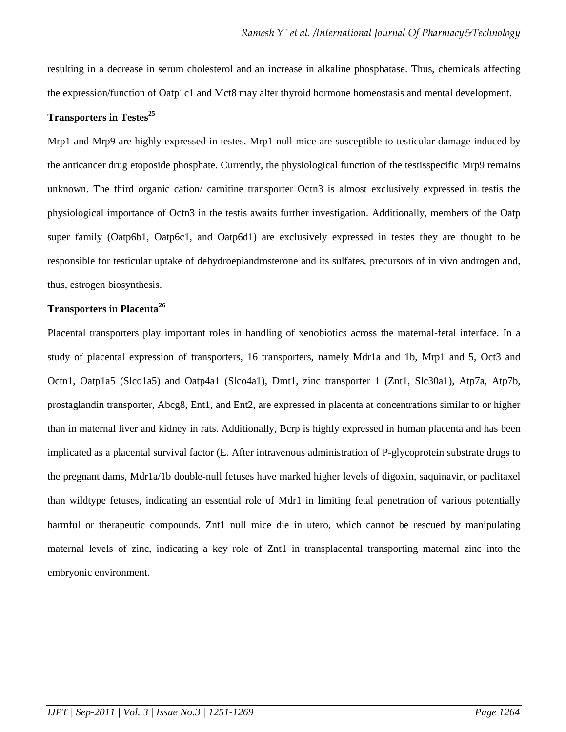resulting in a decrease in serum cholesterol and an increase in alkaline phosphatase. Thus, chemicals affecting the expression/function of Oatp1c1 and Mct8 may alter thyroid hormone homeostasis and mental development.

# **Transporters in Testes<sup>25</sup>**

Mrp1 and Mrp9 are highly expressed in testes. Mrp1-null mice are susceptible to testicular damage induced by the anticancer drug etoposide phosphate. Currently, the physiological function of the testisspecific Mrp9 remains unknown. The third organic cation/ carnitine transporter Octn3 is almost exclusively expressed in testis the physiological importance of Octn3 in the testis awaits further investigation. Additionally, members of the Oatp super family (Oatp6b1, Oatp6c1, and Oatp6d1) are exclusively expressed in testes they are thought to be responsible for testicular uptake of dehydroepiandrosterone and its sulfates, precursors of in vivo androgen and, thus, estrogen biosynthesis.

## **Transporters in Placenta<sup>26</sup>**

Placental transporters play important roles in handling of xenobiotics across the maternal-fetal interface. In a study of placental expression of transporters, 16 transporters, namely Mdr1a and 1b, Mrp1 and 5, Oct3 and Octn1, Oatp1a5 (Slco1a5) and Oatp4a1 (Slco4a1), Dmt1, zinc transporter 1 (Znt1, Slc30a1), Atp7a, Atp7b, prostaglandin transporter, Abcg8, Ent1, and Ent2, are expressed in placenta at concentrations similar to or higher than in maternal liver and kidney in rats. Additionally, Bcrp is highly expressed in human placenta and has been implicated as a placental survival factor (E. After intravenous administration of P-glycoprotein substrate drugs to the pregnant dams, Mdr1a/1b double-null fetuses have marked higher levels of digoxin, saquinavir, or paclitaxel than wildtype fetuses, indicating an essential role of Mdr1 in limiting fetal penetration of various potentially harmful or therapeutic compounds. Znt1 null mice die in utero, which cannot be rescued by manipulating maternal levels of zinc, indicating a key role of Znt1 in transplacental transporting maternal zinc into the embryonic environment.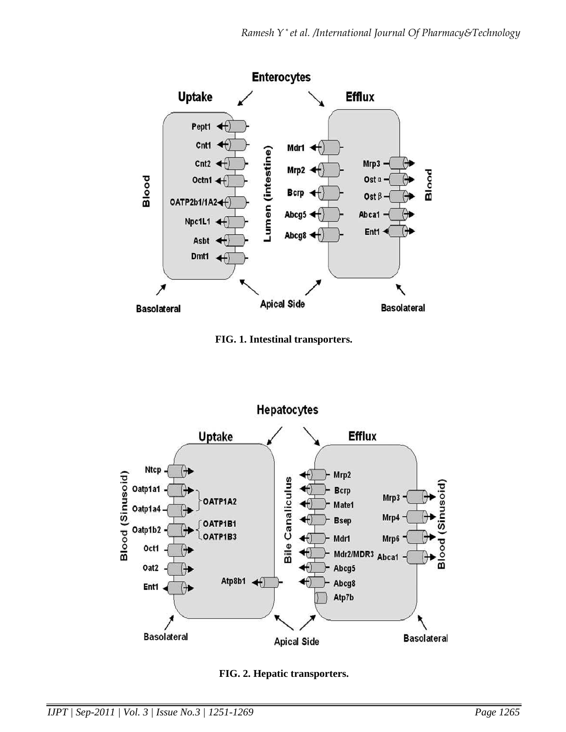

**FIG. 1. Intestinal transporters.** 



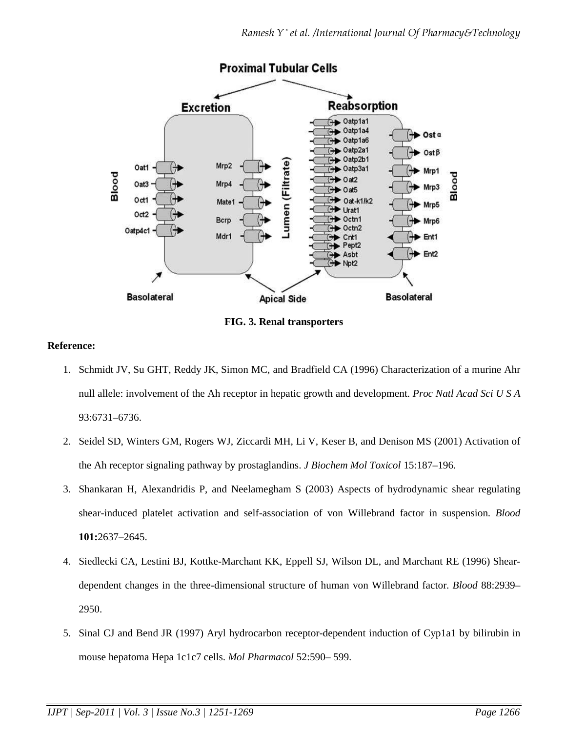

**FIG. 3. Renal transporters** 

# **Reference:**

- 1. Schmidt JV, Su GHT, Reddy JK, Simon MC, and Bradfield CA (1996) Characterization of a murine Ahr null allele: involvement of the Ah receptor in hepatic growth and development. *Proc Natl Acad Sci U S A*  93:6731–6736.
- 2. Seidel SD, Winters GM, Rogers WJ, Ziccardi MH, Li V, Keser B, and Denison MS (2001) Activation of the Ah receptor signaling pathway by prostaglandins. *J Biochem Mol Toxicol* 15:187–196.
- 3. Shankaran H, Alexandridis P, and Neelamegham S (2003) Aspects of hydrodynamic shear regulating shear-induced platelet activation and self-association of von Willebrand factor in suspension. *Blood*  **101:**2637–2645.
- 4. Siedlecki CA, Lestini BJ, Kottke-Marchant KK, Eppell SJ, Wilson DL, and Marchant RE (1996) Sheardependent changes in the three-dimensional structure of human von Willebrand factor. *Blood* 88:2939– 2950.
- 5. Sinal CJ and Bend JR (1997) Aryl hydrocarbon receptor-dependent induction of Cyp1a1 by bilirubin in mouse hepatoma Hepa 1c1c7 cells. *Mol Pharmacol* 52:590– 599.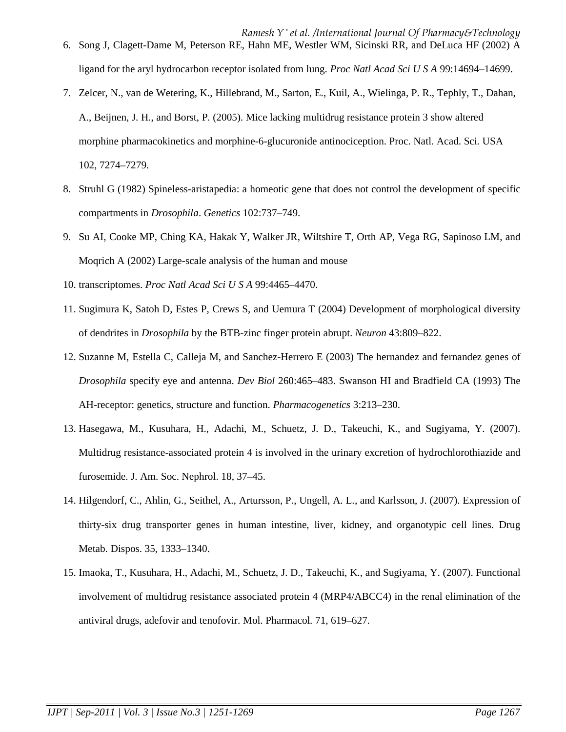- 6. Song J, Clagett-Dame M, Peterson RE, Hahn ME, Westler WM, Sicinski RR, and DeLuca HF (2002) A ligand for the aryl hydrocarbon receptor isolated from lung. *Proc Natl Acad Sci U S A* 99:14694–14699.
- 7. Zelcer, N., van de Wetering, K., Hillebrand, M., Sarton, E., Kuil, A., Wielinga, P. R., Tephly, T., Dahan, A., Beijnen, J. H., and Borst, P. (2005). Mice lacking multidrug resistance protein 3 show altered morphine pharmacokinetics and morphine-6-glucuronide antinociception. Proc. Natl. Acad. Sci. USA 102, 7274–7279.
- 8. Struhl G (1982) Spineless-aristapedia: a homeotic gene that does not control the development of specific compartments in *Drosophila*. *Genetics* 102:737–749.
- 9. Su AI, Cooke MP, Ching KA, Hakak Y, Walker JR, Wiltshire T, Orth AP, Vega RG, Sapinoso LM, and Moqrich A (2002) Large-scale analysis of the human and mouse
- 10. transcriptomes. *Proc Natl Acad Sci U S A* 99:4465–4470.
- 11. Sugimura K, Satoh D, Estes P, Crews S, and Uemura T (2004) Development of morphological diversity of dendrites in *Drosophila* by the BTB-zinc finger protein abrupt. *Neuron* 43:809–822.
- 12. Suzanne M, Estella C, Calleja M, and Sanchez-Herrero E (2003) The hernandez and fernandez genes of *Drosophila* specify eye and antenna. *Dev Biol* 260:465–483. Swanson HI and Bradfield CA (1993) The AH-receptor: genetics, structure and function. *Pharmacogenetics* 3:213–230.
- 13. Hasegawa, M., Kusuhara, H., Adachi, M., Schuetz, J. D., Takeuchi, K., and Sugiyama, Y. (2007). Multidrug resistance-associated protein 4 is involved in the urinary excretion of hydrochlorothiazide and furosemide. J. Am. Soc. Nephrol. 18, 37–45.
- 14. Hilgendorf, C., Ahlin, G., Seithel, A., Artursson, P., Ungell, A. L., and Karlsson, J. (2007). Expression of thirty-six drug transporter genes in human intestine, liver, kidney, and organotypic cell lines. Drug Metab. Dispos. 35, 1333–1340.
- 15. Imaoka, T., Kusuhara, H., Adachi, M., Schuetz, J. D., Takeuchi, K., and Sugiyama, Y. (2007). Functional involvement of multidrug resistance associated protein 4 (MRP4/ABCC4) in the renal elimination of the antiviral drugs, adefovir and tenofovir. Mol. Pharmacol. 71, 619–627.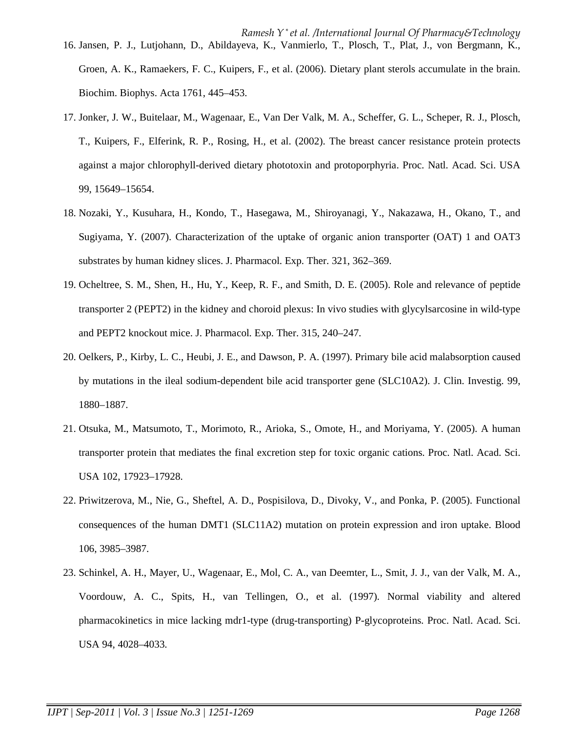- 17. Jonker, J. W., Buitelaar, M., Wagenaar, E., Van Der Valk, M. A., Scheffer, G. L., Scheper, R. J., Plosch, T., Kuipers, F., Elferink, R. P., Rosing, H., et al. (2002). The breast cancer resistance protein protects against a major chlorophyll-derived dietary phototoxin and protoporphyria. Proc. Natl. Acad. Sci. USA 99, 15649–15654.
- 18. Nozaki, Y., Kusuhara, H., Kondo, T., Hasegawa, M., Shiroyanagi, Y., Nakazawa, H., Okano, T., and Sugiyama, Y. (2007). Characterization of the uptake of organic anion transporter (OAT) 1 and OAT3 substrates by human kidney slices. J. Pharmacol. Exp. Ther. 321, 362–369.
- 19. Ocheltree, S. M., Shen, H., Hu, Y., Keep, R. F., and Smith, D. E. (2005). Role and relevance of peptide transporter 2 (PEPT2) in the kidney and choroid plexus: In vivo studies with glycylsarcosine in wild-type and PEPT2 knockout mice. J. Pharmacol. Exp. Ther. 315, 240–247.
- 20. Oelkers, P., Kirby, L. C., Heubi, J. E., and Dawson, P. A. (1997). Primary bile acid malabsorption caused by mutations in the ileal sodium-dependent bile acid transporter gene (SLC10A2). J. Clin. Investig. 99, 1880–1887.
- 21. Otsuka, M., Matsumoto, T., Morimoto, R., Arioka, S., Omote, H., and Moriyama, Y. (2005). A human transporter protein that mediates the final excretion step for toxic organic cations. Proc. Natl. Acad. Sci. USA 102, 17923–17928.
- 22. Priwitzerova, M., Nie, G., Sheftel, A. D., Pospisilova, D., Divoky, V., and Ponka, P. (2005). Functional consequences of the human DMT1 (SLC11A2) mutation on protein expression and iron uptake. Blood 106, 3985–3987.
- 23. Schinkel, A. H., Mayer, U., Wagenaar, E., Mol, C. A., van Deemter, L., Smit, J. J., van der Valk, M. A., Voordouw, A. C., Spits, H., van Tellingen, O., et al. (1997). Normal viability and altered pharmacokinetics in mice lacking mdr1-type (drug-transporting) P-glycoproteins. Proc. Natl. Acad. Sci. USA 94, 4028–4033.